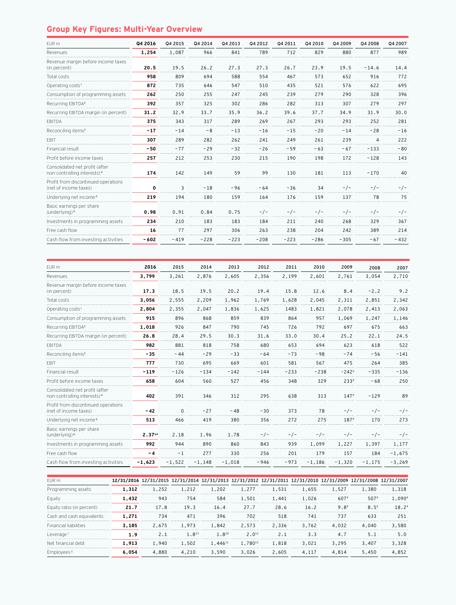## **Group Key Figures: Multi-Year Overview**

| EUR m                                                                     | Q4 2016 | Q4 2015 | Q4 2014 | Q4 2013 | Q4 2012 | Q4 2011 | Q4 2010 | Q4 2009 | Q4 2008 | Q4 2007 |
|---------------------------------------------------------------------------|---------|---------|---------|---------|---------|---------|---------|---------|---------|---------|
| Revenues                                                                  | 1,254   | 1,087   | 966     | 841     | 789     | 712     | 829     | 880     | 877     | 989     |
| Revenue margin before income taxes<br>(in percent)                        | 20.5    | 19.5    | 26.2    | 27.3    | 27.3    | 26.7    | 23.9    | 19.5    | $-14.6$ | 14.4    |
| Total costs                                                               | 958     | 809     | 694     | 588     | 554     | 467     | 573     | 652     | 916     | 772     |
| Operating costs <sup>1</sup>                                              | 872     | 735     | 646     | 547     | 510     | 435     | 521     | 576     | 622     | 695     |
| Consumption of programming assets                                         | 262     | 250     | 255     | 247     | 245     | 239     | 279     | 290     | 328     | 396     |
| Recurring EBITDA <sup>2</sup>                                             | 392     | 357     | 325     | 302     | 286     | 282     | 313     | 307     | 279     | 297     |
| Recurring EBITDA margin (in percent)                                      | 31.2    | 32.9    | 33.7    | 35.9    | 36.2    | 39.6    | 37.7    | 34.9    | 31.9    | 30.0    |
| <b>FBITDA</b>                                                             | 375     | 343     | 317     | 289     | 269     | 267     | 293     | 293     | 252     | 281     |
| Reconciling items <sup>3</sup>                                            | $-17$   | $-14$   | $-8$    | $-13$   | $-16$   | $-15$   | $-20$   | $-14$   | $-28$   | $-16$   |
| <b>FBIT</b>                                                               | 307     | 289     | 282     | 262     | 241     | 249     | 261     | 239     | 4       | 222     |
| Financial result                                                          | $-50$   | $-77$   | $-29$   | $-32$   | $-26$   | $-59$   | $-63$   | $-67$   | $-133$  | $-80$   |
| Profit before income taxes                                                | 257     | 212     | 253     | 230     | 215     | 190     | 198     | 172     | $-128$  | 143     |
| Consolidated net profit (after<br>non-controlling interests) <sup>4</sup> | 174     | 142     | 149     | 59      | 99      | 130     | 181     | 113     | $-170$  | 40      |
| Profit from discontinued operations<br>(net of income taxes)              | 0       | 3       | $-18$   | $-96$   | $-64$   | $-36$   | 34      | $-/-$   | $-/-$   | $-/-$   |
| Underlying net income <sup>5</sup>                                        | 219     | 194     | 180     | 159     | 164     | 176     | 159     | 137     | 78      | 75      |
| Basic earnings per share<br>(underlying) <sup>6</sup>                     | 0.98    | 0.91    | 0.84    | 0.75    | $-/-$   | $-/-$   | $-/-$   | $-/-$   | $-/-$   | $-/-$   |
| Investments in programming assets                                         | 234     | 210     | 183     | 183     | 184     | 211     | 240     | 268     | 329     | 367     |
| Free cash flow                                                            | 16      | 77      | 297     | 306     | 263     | 238     | 204     | 242     | 389     | 214     |
| Cash flow from investing activities                                       | $-602$  | $-419$  | $-228$  | $-223$  | $-208$  | $-223$  | $-286$  | $-305$  | $-67$   | $-432$  |

| 2016     | 2015     | 2014     | 2013     | 2012   | 2011   | 2010     | 2009             | 2008     | 2007     |
|----------|----------|----------|----------|--------|--------|----------|------------------|----------|----------|
| 3,799    | 3,261    | 2,876    | 2,605    | 2,356  | 2,199  | 2,601    | 2,761            | 3,054    | 2,710    |
| 17.3     | 18.5     | 19.5     | 20.2     | 19.4   | 15.8   | 12.6     | 8.4              | $-2.2$   | 9.2      |
| 3,056    | 2,555    | 2,209    | 1,962    | 1,769  | 1,628  | 2,045    | 2,311            | 2,851    | 2,342    |
| 2,804    | 2,355    | 2,047    | 1,836    | 1,625  | 1483   | 1,821    | 2,078            | 2,413    | 2,063    |
| 915      | 896      | 868      | 859      | 839    | 864    | 957      | 1,069            | 1,247    | 1,146    |
| 1,018    | 926      | 847      | 790      | 745    | 726    | 792      | 697              | 675      | 663      |
| 26.8     | 28.4     | 29.5     | 30.3     | 31.6   | 33.0   | 30.4     | 25.2             | 22.1     | 24.5     |
| 982      | 881      | 818      | 758      | 680    | 653    | 694      | 623              | 618      | 522      |
| $-35$    | $-44$    | $-29$    | $-33$    | $-64$  | $-73$  | $-98$    | $-74$            | $-56$    | $-141$   |
| 777      | 730      | 695      | 669      | 601    | 581    | 567      | 475              | 264      | 385      |
| $-119$   | $-126$   | $-134$   | $-142$   | $-144$ | $-233$ | $-238$   | $-2429$          | $-335$   | $-136$   |
| 658      | 604      | 560      | 527      | 456    | 348    | 329      | 233 <sup>9</sup> | $-68$    | 250      |
| 402      | 391      | 346      | 312      | 295    | 638    | 313      | 147 <sup>9</sup> | $-129$   | 89       |
| $-42$    | $\Omega$ | $-27$    | $-48$    | $-30$  | 373    | 78       | $-/-$            | $-/-$    | $-/-$    |
| 513      | 466      | 419      | 380      | 356    | 272    | 275      | $187^9$          | 170      | 273      |
| 2.3714   | 2.18     | 1.96     | 1.78     | $-/-$  | $-/-$  | $-/-$    | $-/-$            | $-/-$    | $-/-$    |
| 992      | 944      | 890      | 860      | 843    | 939    | 1,099    | 1,227            | 1,397    | 1,177    |
| $-4$     | $-1$     | 277      | 330      | 256    | 201    | 179      | 157              | 184      | $-1,675$ |
| $-1,623$ | $-1,522$ | $-1,148$ | $-1,018$ | $-946$ | $-973$ | $-1,186$ | $-1,320$         | $-1,175$ | $-3,269$ |
|          |          |          |          |        |        |          |                  |          |          |

| FUR <sub>m</sub>             |       | 12/31/2016 12/31/2015 12/31/2014 12/31/2013 12/31/2012 12/31/2011 12/31/2010 12/31/2009 12/31/2008 12/31/2007 |            |            |                   |       |       |                  |         |                 |
|------------------------------|-------|---------------------------------------------------------------------------------------------------------------|------------|------------|-------------------|-------|-------|------------------|---------|-----------------|
| Programming assets           | 1.312 | 1,252                                                                                                         | 1,212      | 1,202      | 1.277             | 1,531 | 1,655 | 1,527            | 1,380   | 1,318           |
| Eauity                       | 1,432 | 943                                                                                                           | 754        | 584        | 1,501             | 1,441 | 1,026 | 607 <sup>9</sup> | $507^9$ | $1.090^{\circ}$ |
| Equity ratio (in percent)    | 21.7  | 17.8                                                                                                          | 19.3       | 16.4       | 27.7              | 28.6  | 16.2  | $9.8^9$          | $8.5^9$ | 18.29           |
| Cash and cash equivalents    | 1.271 | 734                                                                                                           | 471        | 396        | 702               | 518   | 741   | 737              | 633     | 251             |
| <b>Financial liabilities</b> | 3.185 | 2.675                                                                                                         | 1,973      | 1,842      | 2.573             | 2.336 | 3.762 | 4,032            | 4,040   | 3,580           |
| Leverage                     | 1.9   | 2.1                                                                                                           | $1.8^{13}$ | $1.8^{10}$ | 2.0 <sup>12</sup> | 2.1   | 3.3   | 4.7              | 5.1     | 5.0             |
| Net financial debt           | 1.913 | 1.940                                                                                                         | 1,502      | 1,44611    | 1.78012           | 1,818 | 3.021 | 3.295            | 3,407   | 3,328           |
| Employees                    | 6.054 | 4,880                                                                                                         | 4.210      | 3,590      | 3,026             | 2,605 | 4.117 | 4.814            | 5,450   | 4,852           |